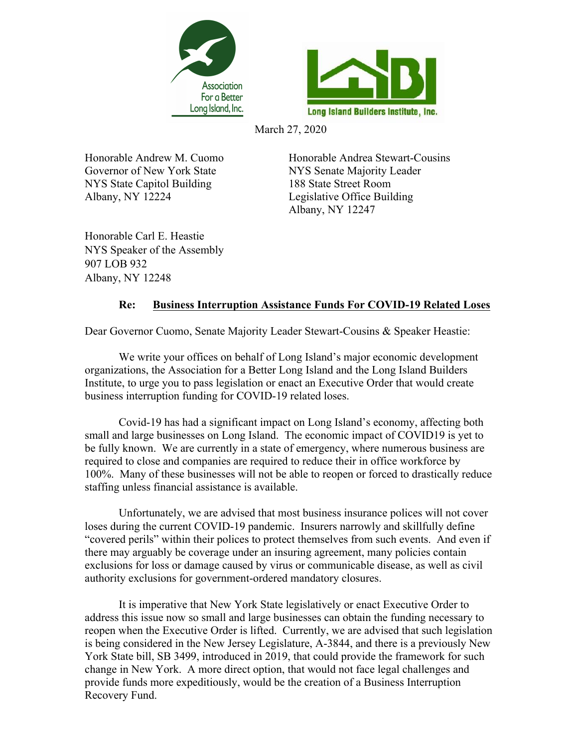



March 27, 2020

Governor of New York State NYS Senate Majority Leader NYS State Capitol Building 188 State Street Room Albany, NY 12224 Legislative Office Building

Honorable Andrew M. Cuomo Honorable Andrea Stewart-Cousins Albany, NY 12247

Honorable Carl E. Heastie NYS Speaker of the Assembly 907 LOB 932 Albany, NY 12248

## **Re: Business Interruption Assistance Funds For COVID-19 Related Loses**

Dear Governor Cuomo, Senate Majority Leader Stewart-Cousins & Speaker Heastie:

We write your offices on behalf of Long Island's major economic development organizations, the Association for a Better Long Island and the Long Island Builders Institute, to urge you to pass legislation or enact an Executive Order that would create business interruption funding for COVID-19 related loses.

Covid-19 has had a significant impact on Long Island's economy, affecting both small and large businesses on Long Island. The economic impact of COVID19 is yet to be fully known. We are currently in a state of emergency, where numerous business are required to close and companies are required to reduce their in office workforce by 100%. Many of these businesses will not be able to reopen or forced to drastically reduce staffing unless financial assistance is available.

Unfortunately, we are advised that most business insurance polices will not cover loses during the current COVID-19 pandemic. Insurers narrowly and skillfully define "covered perils" within their polices to protect themselves from such events. And even if there may arguably be coverage under an insuring agreement, many policies contain exclusions for loss or damage caused by virus or communicable disease, as well as civil authority exclusions for government-ordered mandatory closures.

It is imperative that New York State legislatively or enact Executive Order to address this issue now so small and large businesses can obtain the funding necessary to reopen when the Executive Order is lifted. Currently, we are advised that such legislation is being considered in the New Jersey Legislature, A-3844, and there is a previously New York State bill, SB 3499, introduced in 2019, that could provide the framework for such change in New York. A more direct option, that would not face legal challenges and provide funds more expeditiously, would be the creation of a Business Interruption Recovery Fund.